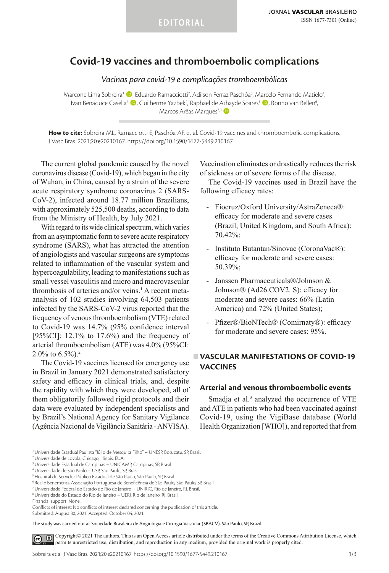# **Covid-19 vaccines and thromboembolic complications**

*Vacinas para covid-19 e complicações tromboembólicas*

Marcone Lima Sobreira<sup>1</sup> (D), Eduardo Ramacciotti<sup>2</sup>, Adilson Ferraz Paschôa<sup>3</sup>, Marcelo Fernando Matielo<sup>4</sup>, Ivan Benaduce Casella<sup>4</sup> (D, Guilherme Yazbek<sup>4</sup>, Raphael de Athayde Soares<sup>5</sup> (D, Bonno van Bellen<sup>6</sup>, Marcos Arêas Marques<sup>7,8</sup>

**How to cite:** Sobreira ML, Ramacciotti E, Paschôa AF, et al. Covid-19 vaccines and thromboembolic complications. J Vasc Bras. 2021;20:e20210167. https://doi.org/10.1590/1677-5449.210167

The current global pandemic caused by the novel coronavirus disease (Covid-19), which began in the city of Wuhan, in China, caused by a strain of the severe acute respiratory syndrome coronavirus 2 (SARS-CoV-2), infected around 18.77 million Brazilians, with approximately 525,500 deaths, according to data from the Ministry of Health, by July 2021.

With regard to its wide clinical spectrum, which varies from an asymptomatic form to severe acute respiratory syndrome (SARS), what has attracted the attention of angiologists and vascular surgeons are symptoms related to inflammation of the vascular system and hypercoagulability, leading to manifestations such as small vessel vasculitis and micro and macrovascular thrombosis of arteries and/or veins.<sup>1</sup> A recent metaanalysis of 102 studies involving 64,503 patients infected by the SARS-CoV-2 virus reported that the frequency of venous thromboembolism (VTE) related to Covid-19 was 14.7% (95% confidence interval [95%CI]: 12.1% to 17.6%) and the frequency of arterial thromboembolism (ATE) was 4.0% (95%CI:  $2.0\%$  to 6.5%).<sup>2</sup>

The Covid-19 vaccines licensed for emergency use in Brazil in January 2021 demonstrated satisfactory safety and efficacy in clinical trials, and, despite the rapidity with which they were developed, all of them obligatorily followed rigid protocols and their data were evaluated by independent specialists and by Brazil's National Agency for Sanitary Vigilance (Agência Nacional de Vigilância Sanitária - ANVISA).

Vaccination eliminates or drastically reduces the risk of sickness or of severe forms of the disease.

The Covid-19 vaccines used in Brazil have the following efficacy rates:

- Fiocruz/Oxford University/AstraZeneca®: efficacy for moderate and severe cases (Brazil, United Kingdom, and South Africa): 70.42%;
- Instituto Butantan/Sinovac (CoronaVac®): efficacy for moderate and severe cases: 50.39%;
- Janssen Pharmaceuticals®/Johnson & Johnson® (Ad26.COV2. S): efficacy for moderate and severe cases: 66% (Latin America) and 72% (United States);
- Pfizer®/BioNTech® (Comirnaty®): efficacy for moderate and severe cases: 95%.

## **VASCULAR MANIFESTATIONS OF COVID-19 VACCINES**

#### **Arterial and venous thromboembolic events**

Smadja et al.<sup>3</sup> analyzed the occurrence of VTE and ATE in patients who had been vaccinated against Covid-19, using the VigiBase database (World Health Organization [WHO]), and reported that from

The study was carried out at Sociedade Brasileira de Angiologia e Cirurgia Vascular (SBACV), São Paulo, SP, Brazil.

[C](https://creativecommons.org/licenses/by/4.0/)opyright© 2021 The authors. This is an Open Access article distributed under the terms of the Creative Commons Attribution License, which  $\odot$ permits unrestricted use, distribution, and reproduction in any medium, provided the original work is properly cited.

<sup>1</sup>Universidade Estadual Paulista "Júlio de Mesquita Filho" – UNESP, Botucatu, SP, Brasil.

<sup>2</sup>Universidade de Loyola, Chicago, Illinois, EUA.

<sup>3</sup>Universidade Estadual de Campinas – UNICAMP, Campinas, SP, Brasil.

<sup>4</sup>Universidade de São Paulo – USP, São Paulo, SP, Brasil.

<sup>5</sup>Hospital do Servidor Público Estadual de São Paulo, São Paulo, SP, Brasil.

<sup>6</sup> Real e Benemérita Associação Portuguesa de Beneficência de São Paulo, São Paulo, SP, Brasil.

<sup>7</sup>Universidade Federal do Estado do Rio de Janeiro – UNIRIO, Rio de Janeiro, RJ, Brasil.

<sup>8</sup>Universidade do Estado do Rio de Janeiro – UERJ, Rio de Janeiro, RJ, Brasil.

Financial support: None.

Conflicts of interest: No conflicts of interest declared concerning the publication of this article. Submitted: August 30, 2021. Accepted: October 04, 2021.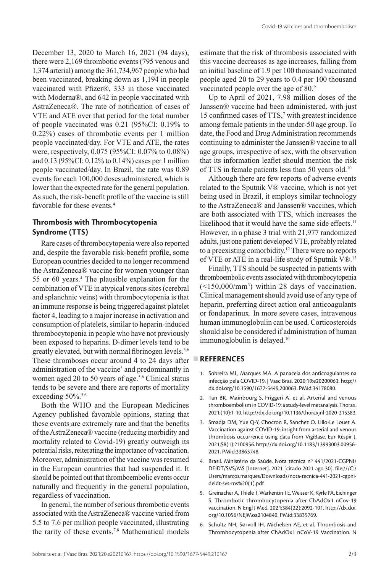December 13, 2020 to March 16, 2021 (94 days), there were 2,169 thrombotic events (795 venous and 1,374 arterial) among the 361,734,967 people who had been vaccinated, breaking down as 1,194 in people vaccinated with Pfizer®, 333 in those vaccinated with Moderna®, and 642 in people vaccinated with AstraZeneca®. The rate of notification of cases of VTE and ATE over that period for the total number of people vaccinated was 0.21 (95%CI: 0.19% to 0.22%) cases of thrombotic events per 1 million people vaccinated/day. For VTE and ATE, the rates were, respectively, 0.075 (95%CI: 0.07% to 0.08%) and 0.13 (95%CI: 0.12% to 0.14%) cases per 1 million people vaccinated/day. In Brazil, the rate was 0.89 events for each 100,000 doses administered, which is lower than the expected rate for the general population. As such, the risk-benefit profile of the vaccine is still favorable for these events.4

### **Thrombosis with Thrombocytopenia Syndrome (TTS)**

Rare cases of thrombocytopenia were also reported and, despite the favorable risk-benefit profile, some European countries decided to no longer recommend the AstraZeneca® vaccine for women younger than 55 or 60 years.4 The plausible explanation for the combination of VTE in atypical venous sites (cerebral and splanchnic veins) with thrombocytopenia is that an immune response is being triggered against platelet factor 4, leading to a major increase in activation and consumption of platelets, similar to heparin-induced thrombocytopenia in people who have not previously been exposed to heparins. D-dimer levels tend to be greatly elevated, but with normal fibrinogen levels.<sup>5,6</sup> These thromboses occur around 4 to 24 days after administration of the vaccine<sup>5</sup> and predominantly in women aged 20 to 50 years of age.<sup>5,6</sup> Clinical status tends to be severe and there are reports of mortality exceeding 50%.<sup>5,6</sup>

Both the WHO and the European Medicines Agency published favorable opinions, stating that these events are extremely rare and that the benefits of the AstraZeneca® vaccine (reducing morbidity and mortality related to Covid-19) greatly outweigh its potential risks, reiterating the importance of vaccination. Moreover, administration of the vaccine was resumed in the European countries that had suspended it. It should be pointed out that thromboembolic events occur naturally and frequently in the general population, regardless of vaccination.

In general, the number of serious thrombotic events associated with the AstraZeneca® vaccine varied from 5.5 to 7.6 per million people vaccinated, illustrating the rarity of these events.<sup>7,8</sup> Mathematical models estimate that the risk of thrombosis associated with this vaccine decreases as age increases, falling from an initial baseline of 1.9 per 100 thousand vaccinated people aged 20 to 29 years to 0.4 per 100 thousand vaccinated people over the age of 80.9

Up to April of 2021, 7.98 million doses of the Janssen® vaccine had been administered, with just 15 confirmed cases of TTS,<sup>7</sup> with greatest incidence among female patients in the under-50 age group. To date, the Food and Drug Administration recommends continuing to administer the Janssen® vaccine to all age groups, irrespective of sex, with the observation that its information leaflet should mention the risk of TTS in female patients less than 50 years old.10

Although there are few reports of adverse events related to the Sputnik V® vaccine, which is not yet being used in Brazil, it employs similar technology to the AstraZeneca® and Janssen® vaccines, which are both associated with TTS, which increases the likelihood that it would have the same side effects.<sup>11</sup> However, in a phase 3 trial with 21,977 randomized adults, just one patient developed VTE, probably related to a preexisting comorbidity.<sup>12</sup> There were no reports of VTE or ATE in a real-life study of Sputnik V®.<sup>13</sup>

Finally, TTS should be suspected in patients with thromboembolic events associated with thrombocytopenia  $(\leq 150,000/\text{mm}^3)$  within 28 days of vaccination. Clinical management should avoid use of any type of heparin, preferring direct action oral anticoagulants or fondaparinux. In more severe cases, intravenous human immunoglobulin can be used. Corticosteroids should also be considered if administration of human immunoglobulin is delayed.<sup>10</sup>

### **REFERENCES**

- 1. Sobreira ML, Marques MA. A panaceia dos anticoagulantes na infecção pela COVID-19. J Vasc Bras. 2020;19:e20200063. [http://](https://doi.org/10.1590/1677-5449.200063) [dx.doi.org/10.1590/1677-5449.200063](https://doi.org/10.1590/1677-5449.200063)[. PMid:34178080.](https://www.ncbi.nlm.nih.gov/entrez/query.fcgi?cmd=Retrieve&db=PubMed&list_uids=34178080&dopt=Abstract)
- 2. Tan BK, Mainbourg S, Friggeri A, et al. Arterial and venous thromboembolism in COVID-19: a study-level metanalysis. Thorax. 2021;(10):1-10. [http://dx.doi.org/10.1136/thoraxjnl-2020-215383](https://doi.org/10.1136/thoraxjnl-2020-215383).
- 3. Smadja DM, Yue Q-Y, Chocron R, Sanchez O, Lillo-Le Louet A. Vaccination against COVID-19: insight from arterial and venous thrombosis occurrence using data from VigiBase. Eur Respir J. 2021;58(1):2100956. [http://dx.doi.org/10.1183/13993003.00956-](https://doi.org/10.1183/13993003.00956-2021) [2021](https://doi.org/10.1183/13993003.00956-2021). [PMid:33863748.](https://www.ncbi.nlm.nih.gov/entrez/query.fcgi?cmd=Retrieve&db=PubMed&list_uids=33863748&dopt=Abstract)
- 4. Brasil. Ministério da Saúde. Nota técnica nº 441/2021-CGPNI/ DEIDT/SVS/MS [Internet]. 2021 [citado 2021 ago 30]. file:///C:/ Users/marcos.marques/Downloads/nota-tecnica-441-2021-cgpnideidt-svs-ms%20(1).pdf
- 5. Greinacher A, Thiele T, Warkentin TE, Weisser K, Kyrle PA, Eichinger S. Thrombotic thrombocytopenia after ChAdOx1 nCov-19 vaccination. N Engl J Med. 2021;384(22):2092-101. [http://dx.doi.](https://doi.org/10.1056/NEJMoa2104840) [org/10.1056/NEJMoa2104840](https://doi.org/10.1056/NEJMoa2104840)[. PMid:33835769.](https://www.ncbi.nlm.nih.gov/entrez/query.fcgi?cmd=Retrieve&db=PubMed&list_uids=33835769&dopt=Abstract)
- 6. Schultz NH, Sørvoll IH, Michelsen AE, et al. Thrombosis and Thrombocytopenia after ChAdOx1 nCoV-19 Vaccination. N